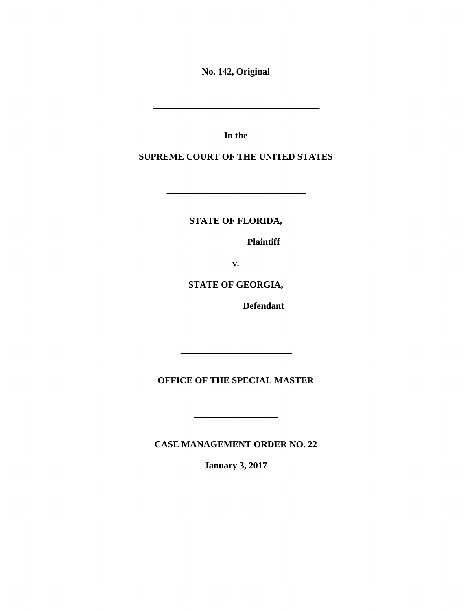**No. 142, Original** 

**In the** 

**SUPREME COURT OF THE UNITED STATES** 

**STATE OF FLORIDA,** 

 **Plaintiff** 

the control of the control of the control of

**v.** 

**STATE OF GEORGIA,** 

 **Defendant** 

**OFFICE OF THE SPECIAL MASTER** 

**CASE MANAGEMENT ORDER NO. 22** 

**January 3, 2017**